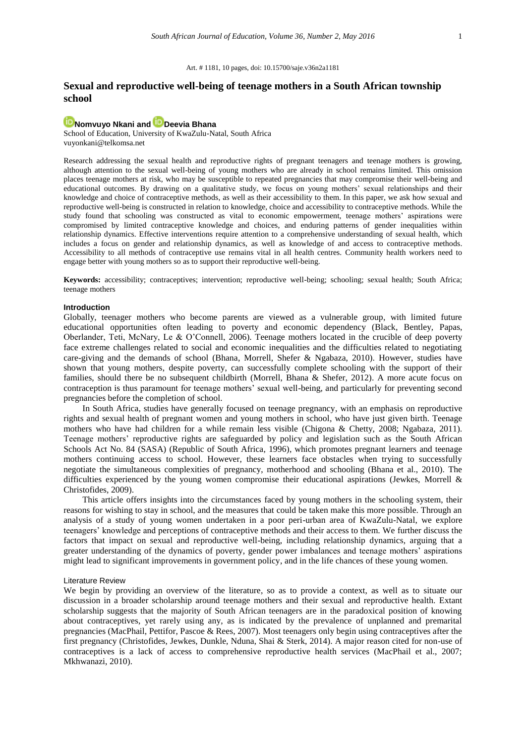#### Art. # 1181, 10 pages, doi: 10.15700/saje.v36n2a1181

## **Sexual and reproductive well-being of teenage mothers in a South African township school**

# **[Nomvuyo Nkani](http://orcid.org/0000-0001-8693-8291) and [Deevia Bhana](http://orcid.org/0000-0002-8504-041X)**

School of Education, University of KwaZulu-Natal, South Africa [vuyonkani@telkomsa.net](mailto:vuyonkani@telkomsa.net)

Research addressing the sexual health and reproductive rights of pregnant teenagers and teenage mothers is growing, although attention to the sexual well-being of young mothers who are already in school remains limited. This omission places teenage mothers at risk, who may be susceptible to repeated pregnancies that may compromise their well-being and educational outcomes. By drawing on a qualitative study, we focus on young mothers' sexual relationships and their knowledge and choice of contraceptive methods, as well as their accessibility to them. In this paper, we ask how sexual and reproductive well-being is constructed in relation to knowledge, choice and accessibility to contraceptive methods. While the study found that schooling was constructed as vital to economic empowerment, teenage mothers' aspirations were compromised by limited contraceptive knowledge and choices, and enduring patterns of gender inequalities within relationship dynamics. Effective interventions require attention to a comprehensive understanding of sexual health, which includes a focus on gender and relationship dynamics, as well as knowledge of and access to contraceptive methods. Accessibility to all methods of contraceptive use remains vital in all health centres. Community health workers need to engage better with young mothers so as to support their reproductive well-being.

**Keywords:** accessibility; contraceptives; intervention; reproductive well-being; schooling; sexual health; South Africa; teenage mothers

## **Introduction**

Globally, teenager mothers who become parents are viewed as a vulnerable group, with limited future educational opportunities often leading to poverty and economic dependency (Black, Bentley, Papas, Oberlander, Teti, McNary, Le & O'Connell, 2006). Teenage mothers located in the crucible of deep poverty face extreme challenges related to social and economic inequalities and the difficulties related to negotiating care-giving and the demands of school (Bhana, Morrell, Shefer & Ngabaza, 2010). However, studies have shown that young mothers, despite poverty, can successfully complete schooling with the support of their families, should there be no subsequent childbirth (Morrell, Bhana & Shefer, 2012). A more acute focus on contraception is thus paramount for teenage mothers' sexual well-being, and particularly for preventing second pregnancies before the completion of school.

In South Africa, studies have generally focused on teenage pregnancy, with an emphasis on reproductive rights and sexual health of pregnant women and young mothers in school, who have just given birth. Teenage mothers who have had children for a while remain less visible (Chigona & Chetty, 2008; Ngabaza, 2011). Teenage mothers' reproductive rights are safeguarded by policy and legislation such as the South African Schools Act No. 84 (SASA) (Republic of South Africa, 1996), which promotes pregnant learners and teenage mothers continuing access to school. However, these learners face obstacles when trying to successfully negotiate the simultaneous complexities of pregnancy, motherhood and schooling (Bhana et al., 2010). The difficulties experienced by the young women compromise their educational aspirations (Jewkes, Morrell & Christofides, 2009).

This article offers insights into the circumstances faced by young mothers in the schooling system, their reasons for wishing to stay in school, and the measures that could be taken make this more possible. Through an analysis of a study of young women undertaken in a poor peri-urban area of KwaZulu-Natal, we explore teenagers' knowledge and perceptions of contraceptive methods and their access to them. We further discuss the factors that impact on sexual and reproductive well-being, including relationship dynamics, arguing that a greater understanding of the dynamics of poverty, gender power imbalances and teenage mothers' aspirations might lead to significant improvements in government policy, and in the life chances of these young women.

## Literature Review

We begin by providing an overview of the literature, so as to provide a context, as well as to situate our discussion in a broader scholarship around teenage mothers and their sexual and reproductive health. Extant scholarship suggests that the majority of South African teenagers are in the paradoxical position of knowing about contraceptives, yet rarely using any, as is indicated by the prevalence of unplanned and premarital pregnancies (MacPhail, Pettifor, Pascoe & Rees, 2007). Most teenagers only begin using contraceptives after the first pregnancy (Christofides, Jewkes, Dunkle, Nduna, Shai & Sterk, 2014). A major reason cited for non-use of contraceptives is a lack of access to comprehensive reproductive health services (MacPhail et al., 2007; Mkhwanazi, 2010).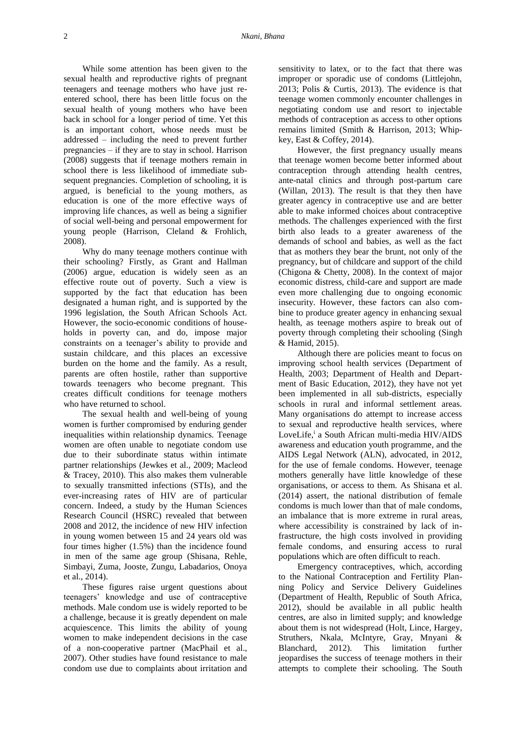While some attention has been given to the sexual health and reproductive rights of pregnant teenagers and teenage mothers who have just reentered school, there has been little focus on the sexual health of young mothers who have been back in school for a longer period of time. Yet this is an important cohort, whose needs must be addressed – including the need to prevent further pregnancies – if they are to stay in school. Harrison (2008) suggests that if teenage mothers remain in school there is less likelihood of immediate subsequent pregnancies. Completion of schooling, it is argued, is beneficial to the young mothers, as education is one of the more effective ways of improving life chances, as well as being a signifier of social well-being and personal empowerment for young people (Harrison, Cleland & Frohlich, 2008).

Why do many teenage mothers continue with their schooling? Firstly, as Grant and Hallman (2006) argue, education is widely seen as an effective route out of poverty. Such a view is supported by the fact that education has been designated a human right, and is supported by the 1996 legislation, the South African Schools Act. However, the socio-economic conditions of households in poverty can, and do, impose major constraints on a teenager's ability to provide and sustain childcare, and this places an excessive burden on the home and the family. As a result, parents are often hostile, rather than supportive towards teenagers who become pregnant. This creates difficult conditions for teenage mothers who have returned to school.

The sexual health and well-being of young women is further compromised by enduring gender inequalities within relationship dynamics. Teenage women are often unable to negotiate condom use due to their subordinate status within intimate partner relationships (Jewkes et al., 2009; Macleod & Tracey, 2010). This also makes them vulnerable to sexually transmitted infections (STIs), and the ever-increasing rates of HIV are of particular concern. Indeed, a study by the Human Sciences Research Council (HSRC) revealed that between 2008 and 2012, the incidence of new HIV infection in young women between 15 and 24 years old was four times higher (1.5%) than the incidence found in men of the same age group (Shisana, Rehle, Simbayi, Zuma, Jooste, Zungu, Labadarios, Onoya et al., 2014).

These figures raise urgent questions about teenagers' knowledge and use of contraceptive methods. Male condom use is widely reported to be a challenge, because it is greatly dependent on male acquiescence. This limits the ability of young women to make independent decisions in the case of a non-cooperative partner (MacPhail et al., 2007). Other studies have found resistance to male condom use due to complaints about irritation and

sensitivity to latex, or to the fact that there was improper or sporadic use of condoms (Littlejohn, 2013; Polis & Curtis, 2013). The evidence is that teenage women commonly encounter challenges in negotiating condom use and resort to injectable methods of contraception as access to other options remains limited (Smith & Harrison, 2013; Whipkey, East & Coffey, 2014).

However, the first pregnancy usually means that teenage women become better informed about contraception through attending health centres, ante-natal clinics and through post-partum care (Willan, 2013). The result is that they then have greater agency in contraceptive use and are better able to make informed choices about contraceptive methods. The challenges experienced with the first birth also leads to a greater awareness of the demands of school and babies, as well as the fact that as mothers they bear the brunt, not only of the pregnancy, but of childcare and support of the child (Chigona & Chetty, 2008). In the context of major economic distress, child-care and support are made even more challenging due to ongoing economic insecurity. However, these factors can also combine to produce greater agency in enhancing sexual health, as teenage mothers aspire to break out of poverty through completing their schooling (Singh & Hamid, 2015).

Although there are policies meant to focus on improving school health services (Department of Health, 2003; Department of Health and Department of Basic Education, 2012), they have not yet been implemented in all sub-districts, especially schools in rural and informal settlement areas. Many organisations do attempt to increase access to sexual and reproductive health services, where LoveLife,<sup>i</sup> a South African multi-media HIV/AIDS awareness and education youth programme, and the AIDS Legal Network (ALN), advocated, in 2012, for the use of female condoms. However, teenage mothers generally have little knowledge of these organisations, or access to them. As Shisana et al. (2014) assert, the national distribution of female condoms is much lower than that of male condoms, an imbalance that is more extreme in rural areas, where accessibility is constrained by lack of infrastructure, the high costs involved in providing female condoms, and ensuring access to rural populations which are often difficult to reach.

Emergency contraceptives, which, according to the National Contraception and Fertility Planning Policy and Service Delivery Guidelines (Department of Health, Republic of South Africa, 2012), should be available in all public health centres, are also in limited supply; and knowledge about them is not widespread (Holt, Lince, Hargey, Struthers, Nkala, McIntyre, Gray, Mnyani & Blanchard, 2012). This limitation further jeopardises the success of teenage mothers in their attempts to complete their schooling. The South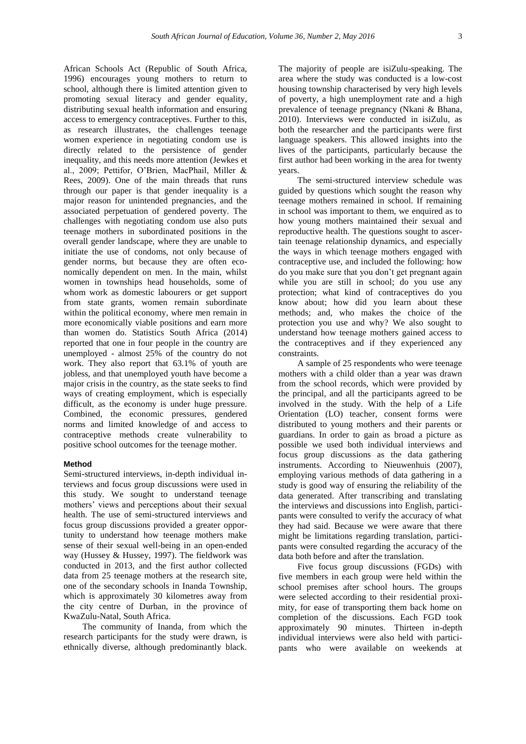African Schools Act (Republic of South Africa, 1996) encourages young mothers to return to school, although there is limited attention given to promoting sexual literacy and gender equality, distributing sexual health information and ensuring access to emergency contraceptives. Further to this, as research illustrates, the challenges teenage women experience in negotiating condom use is directly related to the persistence of gender inequality, and this needs more attention (Jewkes et al., 2009; Pettifor, O'Brien, MacPhail, Miller & Rees, 2009). One of the main threads that runs through our paper is that gender inequality is a major reason for unintended pregnancies, and the associated perpetuation of gendered poverty. The challenges with negotiating condom use also puts teenage mothers in subordinated positions in the overall gender landscape, where they are unable to initiate the use of condoms, not only because of gender norms, but because they are often economically dependent on men. In the main, whilst women in townships head households, some of whom work as domestic labourers or get support from state grants, women remain subordinate within the political economy, where men remain in more economically viable positions and earn more than women do. Statistics South Africa (2014) reported that one in four people in the country are unemployed - almost 25% of the country do not work. They also report that 63.1% of youth are jobless, and that unemployed youth have become a major crisis in the country, as the state seeks to find ways of creating employment, which is especially difficult, as the economy is under huge pressure.

Combined, the economic pressures, gendered norms and limited knowledge of and access to contraceptive methods create vulnerability to positive school outcomes for the teenage mother.

## **Method**

Semi-structured interviews, in-depth individual interviews and focus group discussions were used in this study. We sought to understand teenage mothers' views and perceptions about their sexual health. The use of semi-structured interviews and focus group discussions provided a greater opportunity to understand how teenage mothers make sense of their sexual well-being in an open-ended way (Hussey & Hussey, 1997). The fieldwork was conducted in 2013, and the first author collected data from 25 teenage mothers at the research site, one of the secondary schools in Inanda Township, which is approximately 30 kilometres away from the city centre of Durban, in the province of KwaZulu-Natal, South Africa.

The community of Inanda, from which the research participants for the study were drawn, is ethnically diverse, although predominantly black.

The majority of people are isiZulu-speaking. The area where the study was conducted is a low-cost housing township characterised by very high levels of poverty, a high unemployment rate and a high prevalence of teenage pregnancy (Nkani & Bhana, 2010). Interviews were conducted in isiZulu, as both the researcher and the participants were first language speakers. This allowed insights into the lives of the participants, particularly because the first author had been working in the area for twenty years.

The semi-structured interview schedule was guided by questions which sought the reason why teenage mothers remained in school. If remaining in school was important to them, we enquired as to how young mothers maintained their sexual and reproductive health. The questions sought to ascertain teenage relationship dynamics, and especially the ways in which teenage mothers engaged with contraceptive use, and included the following: how do you make sure that you don't get pregnant again while you are still in school; do you use any protection; what kind of contraceptives do you know about; how did you learn about these methods; and, who makes the choice of the protection you use and why? We also sought to understand how teenage mothers gained access to the contraceptives and if they experienced any constraints.

A sample of 25 respondents who were teenage mothers with a child older than a year was drawn from the school records, which were provided by the principal, and all the participants agreed to be involved in the study. With the help of a Life Orientation (LO) teacher, consent forms were distributed to young mothers and their parents or guardians. In order to gain as broad a picture as possible we used both individual interviews and focus group discussions as the data gathering instruments. According to Nieuwenhuis (2007), employing various methods of data gathering in a study is good way of ensuring the reliability of the data generated. After transcribing and translating the interviews and discussions into English, participants were consulted to verify the accuracy of what they had said. Because we were aware that there might be limitations regarding translation, participants were consulted regarding the accuracy of the data both before and after the translation.

Five focus group discussions (FGDs) with five members in each group were held within the school premises after school hours. The groups were selected according to their residential proximity, for ease of transporting them back home on completion of the discussions. Each FGD took approximately 90 minutes. Thirteen in-depth individual interviews were also held with participants who were available on weekends at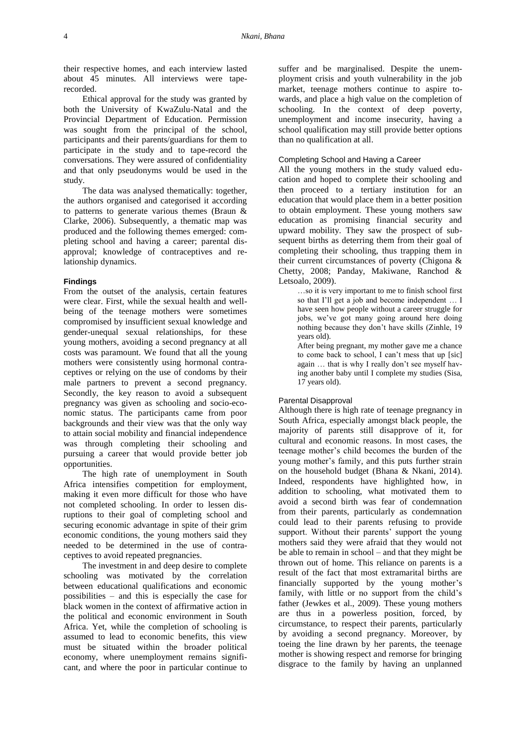their respective homes, and each interview lasted about 45 minutes. All interviews were taperecorded.

Ethical approval for the study was granted by both the University of KwaZulu-Natal and the Provincial Department of Education. Permission was sought from the principal of the school, participants and their parents/guardians for them to participate in the study and to tape-record the conversations. They were assured of confidentiality and that only pseudonyms would be used in the study.

The data was analysed thematically: together, the authors organised and categorised it according to patterns to generate various themes (Braun & Clarke, 2006). Subsequently, a thematic map was produced and the following themes emerged: completing school and having a career; parental disapproval; knowledge of contraceptives and relationship dynamics.

### **Findings**

From the outset of the analysis, certain features were clear. First, while the sexual health and wellbeing of the teenage mothers were sometimes compromised by insufficient sexual knowledge and gender-unequal sexual relationships, for these young mothers, avoiding a second pregnancy at all costs was paramount. We found that all the young mothers were consistently using hormonal contraceptives or relying on the use of condoms by their male partners to prevent a second pregnancy. Secondly, the key reason to avoid a subsequent pregnancy was given as schooling and socio-economic status. The participants came from poor backgrounds and their view was that the only way to attain social mobility and financial independence was through completing their schooling and pursuing a career that would provide better job opportunities.

The high rate of unemployment in South Africa intensifies competition for employment, making it even more difficult for those who have not completed schooling. In order to lessen disruptions to their goal of completing school and securing economic advantage in spite of their grim economic conditions, the young mothers said they needed to be determined in the use of contraceptives to avoid repeated pregnancies.

The investment in and deep desire to complete schooling was motivated by the correlation between educational qualifications and economic possibilities – and this is especially the case for black women in the context of affirmative action in the political and economic environment in South Africa. Yet, while the completion of schooling is assumed to lead to economic benefits, this view must be situated within the broader political economy, where unemployment remains significant, and where the poor in particular continue to

suffer and be marginalised. Despite the unemployment crisis and youth vulnerability in the job market, teenage mothers continue to aspire towards, and place a high value on the completion of schooling. In the context of deep poverty, unemployment and income insecurity, having a school qualification may still provide better options than no qualification at all.

## Completing School and Having a Career

All the young mothers in the study valued education and hoped to complete their schooling and then proceed to a tertiary institution for an education that would place them in a better position to obtain employment. These young mothers saw education as promising financial security and upward mobility. They saw the prospect of subsequent births as deterring them from their goal of completing their schooling, thus trapping them in their current circumstances of poverty (Chigona & Chetty, 2008; Panday, Makiwane, Ranchod & Letsoalo, 2009).

…so it is very important to me to finish school first so that I'll get a job and become independent … I have seen how people without a career struggle for jobs, we've got many going around here doing nothing because they don't have skills (Zinhle, 19 years old).

After being pregnant, my mother gave me a chance to come back to school, I can't mess that up [sic] again … that is why I really don't see myself having another baby until I complete my studies (Sisa, 17 years old).

## Parental Disapproval

Although there is high rate of teenage pregnancy in South Africa, especially amongst black people, the majority of parents still disapprove of it, for cultural and economic reasons. In most cases, the teenage mother's child becomes the burden of the young mother's family, and this puts further strain on the household budget (Bhana & Nkani, 2014). Indeed, respondents have highlighted how, in addition to schooling, what motivated them to avoid a second birth was fear of condemnation from their parents, particularly as condemnation could lead to their parents refusing to provide support. Without their parents' support the young mothers said they were afraid that they would not be able to remain in school – and that they might be thrown out of home. This reliance on parents is a result of the fact that most extramarital births are financially supported by the young mother's family, with little or no support from the child's father (Jewkes et al., 2009). These young mothers are thus in a powerless position, forced, by circumstance, to respect their parents, particularly by avoiding a second pregnancy. Moreover, by toeing the line drawn by her parents, the teenage mother is showing respect and remorse for bringing disgrace to the family by having an unplanned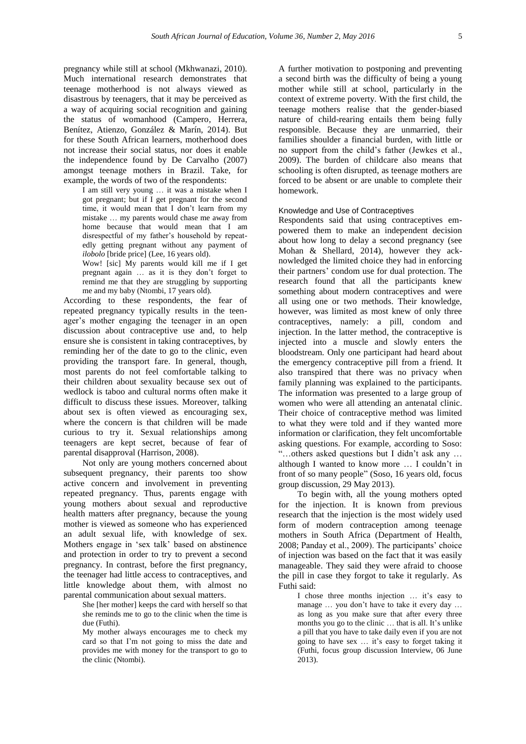pregnancy while still at school (Mkhwanazi, 2010). Much international research demonstrates that teenage motherhood is not always viewed as disastrous by teenagers, that it may be perceived as a way of acquiring social recognition and gaining the status of womanhood (Campero, Herrera, Benítez, Atienzo, González & Marín, 2014). But for these South African learners, motherhood does not increase their social status, nor does it enable the independence found by De Carvalho (2007) amongst teenage mothers in Brazil. Take, for example, the words of two of the respondents:

I am still very young … it was a mistake when I got pregnant; but if I get pregnant for the second time, it would mean that I don't learn from my mistake … my parents would chase me away from home because that would mean that I am disrespectful of my father's household by repeatedly getting pregnant without any payment of *ilobolo* [bride price] (Lee, 16 years old).

Wow! [sic] My parents would kill me if I get pregnant again … as it is they don't forget to remind me that they are struggling by supporting me and my baby (Ntombi, 17 years old).

According to these respondents, the fear of repeated pregnancy typically results in the teenager's mother engaging the teenager in an open discussion about contraceptive use and, to help ensure she is consistent in taking contraceptives, by reminding her of the date to go to the clinic, even providing the transport fare. In general, though, most parents do not feel comfortable talking to their children about sexuality because sex out of wedlock is taboo and cultural norms often make it difficult to discuss these issues. Moreover, talking about sex is often viewed as encouraging sex, where the concern is that children will be made curious to try it. Sexual relationships among teenagers are kept secret, because of fear of parental disapproval (Harrison, 2008).

Not only are young mothers concerned about subsequent pregnancy, their parents too show active concern and involvement in preventing repeated pregnancy. Thus, parents engage with young mothers about sexual and reproductive health matters after pregnancy, because the young mother is viewed as someone who has experienced an adult sexual life, with knowledge of sex. Mothers engage in 'sex talk' based on abstinence and protection in order to try to prevent a second pregnancy. In contrast, before the first pregnancy, the teenager had little access to contraceptives, and little knowledge about them, with almost no parental communication about sexual matters.

> She [her mother] keeps the card with herself so that she reminds me to go to the clinic when the time is due (Futhi).

> My mother always encourages me to check my card so that I'm not going to miss the date and provides me with money for the transport to go to the clinic (Ntombi).

A further motivation to postponing and preventing a second birth was the difficulty of being a young mother while still at school, particularly in the context of extreme poverty. With the first child, the teenage mothers realise that the gender-biased nature of child-rearing entails them being fully responsible. Because they are unmarried, their families shoulder a financial burden, with little or no support from the child's father (Jewkes et al., 2009). The burden of childcare also means that schooling is often disrupted, as teenage mothers are forced to be absent or are unable to complete their homework.

### Knowledge and Use of Contraceptives

Respondents said that using contraceptives empowered them to make an independent decision about how long to delay a second pregnancy (see Mohan & Shellard, 2014), however they acknowledged the limited choice they had in enforcing their partners' condom use for dual protection. The research found that all the participants knew something about modern contraceptives and were all using one or two methods. Their knowledge, however, was limited as most knew of only three contraceptives, namely: a pill, condom and injection. In the latter method, the contraceptive is injected into a muscle and slowly enters the bloodstream. Only one participant had heard about the emergency contraceptive pill from a friend. It also transpired that there was no privacy when family planning was explained to the participants. The information was presented to a large group of women who were all attending an antenatal clinic. Their choice of contraceptive method was limited to what they were told and if they wanted more information or clarification, they felt uncomfortable asking questions. For example, according to Soso: "…others asked questions but I didn't ask any … although I wanted to know more … I couldn't in front of so many people" (Soso, 16 years old, focus group discussion, 29 May 2013).

To begin with, all the young mothers opted for the injection. It is known from previous research that the injection is the most widely used form of modern contraception among teenage mothers in South Africa (Department of Health, 2008; Panday et al., 2009). The participants' choice of injection was based on the fact that it was easily manageable. They said they were afraid to choose the pill in case they forgot to take it regularly. As Futhi said:

I chose three months injection … it's easy to manage … you don't have to take it every day … as long as you make sure that after every three months you go to the clinic ... that is all. It's unlike a pill that you have to take daily even if you are not going to have sex … it's easy to forget taking it (Futhi, focus group discussion Interview, 06 June 2013).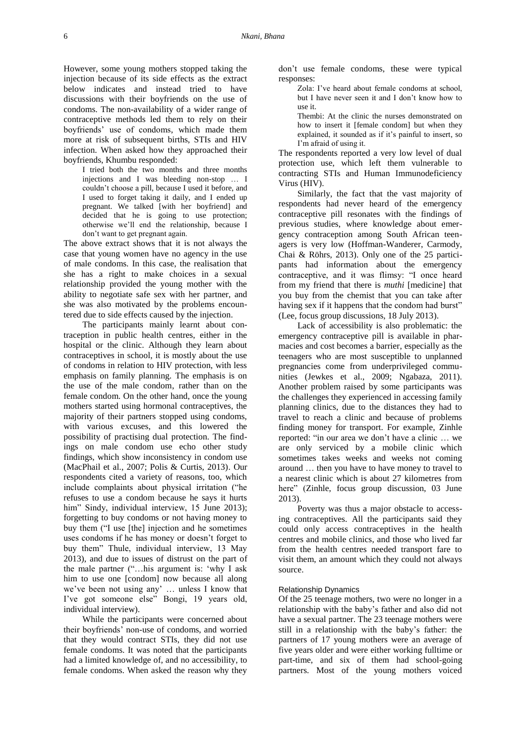However, some young mothers stopped taking the injection because of its side effects as the extract below indicates and instead tried to have discussions with their boyfriends on the use of condoms. The non-availability of a wider range of contraceptive methods led them to rely on their boyfriends' use of condoms, which made them more at risk of subsequent births, STIs and HIV infection. When asked how they approached their boyfriends, Khumbu responded:

I tried both the two months and three months injections and I was bleeding non-stop … I couldn't choose a pill, because I used it before, and I used to forget taking it daily, and I ended up pregnant. We talked [with her boyfriend] and decided that he is going to use protection; otherwise we'll end the relationship, because I don't want to get pregnant again.

The above extract shows that it is not always the case that young women have no agency in the use of male condoms. In this case, the realisation that she has a right to make choices in a sexual relationship provided the young mother with the ability to negotiate safe sex with her partner, and she was also motivated by the problems encountered due to side effects caused by the injection.

The participants mainly learnt about contraception in public health centres, either in the hospital or the clinic. Although they learn about contraceptives in school, it is mostly about the use of condoms in relation to HIV protection, with less emphasis on family planning. The emphasis is on the use of the male condom, rather than on the female condom. On the other hand, once the young mothers started using hormonal contraceptives, the majority of their partners stopped using condoms, with various excuses, and this lowered the possibility of practising dual protection. The findings on male condom use echo other study findings, which show inconsistency in condom use (MacPhail et al., 2007; Polis & Curtis, 2013). Our respondents cited a variety of reasons, too, which include complaints about physical irritation ("he refuses to use a condom because he says it hurts him" Sindy, individual interview, 15 June 2013); forgetting to buy condoms or not having money to buy them ("I use [the] injection and he sometimes uses condoms if he has money or doesn't forget to buy them" Thule, individual interview, 13 May 2013), and due to issues of distrust on the part of the male partner ("…his argument is: 'why I ask him to use one [condom] now because all along we've been not using any' … unless I know that I've got someone else" Bongi, 19 years old, individual interview).

While the participants were concerned about their boyfriends' non-use of condoms, and worried that they would contract STIs, they did not use female condoms. It was noted that the participants had a limited knowledge of, and no accessibility, to female condoms. When asked the reason why they don't use female condoms, these were typical responses:

Zola: I've heard about female condoms at school, but I have never seen it and I don't know how to use it.

Thembi: At the clinic the nurses demonstrated on how to insert it [female condom] but when they explained, it sounded as if it's painful to insert, so I'm afraid of using it.

The respondents reported a very low level of dual protection use, which left them vulnerable to contracting STIs and Human Immunodeficiency Virus (HIV).

Similarly, the fact that the vast majority of respondents had never heard of the emergency contraceptive pill resonates with the findings of previous studies, where knowledge about emergency contraception among South African teenagers is very low (Hoffman-Wanderer, Carmody, Chai & Röhrs, 2013). Only one of the 25 participants had information about the emergency contraceptive, and it was flimsy: "I once heard from my friend that there is *muthi* [medicine] that you buy from the chemist that you can take after having sex if it happens that the condom had burst" (Lee, focus group discussions, 18 July 2013).

Lack of accessibility is also problematic: the emergency contraceptive pill is available in pharmacies and cost becomes a barrier, especially as the teenagers who are most susceptible to unplanned pregnancies come from underprivileged communities (Jewkes et al., 2009; Ngabaza, 2011). Another problem raised by some participants was the challenges they experienced in accessing family planning clinics, due to the distances they had to travel to reach a clinic and because of problems finding money for transport. For example, Zinhle reported: "in our area we don't have a clinic … we are only serviced by a mobile clinic which sometimes takes weeks and weeks not coming around … then you have to have money to travel to a nearest clinic which is about 27 kilometres from here" (Zinhle, focus group discussion, 03 June 2013).

Poverty was thus a major obstacle to accessing contraceptives. All the participants said they could only access contraceptives in the health centres and mobile clinics, and those who lived far from the health centres needed transport fare to visit them, an amount which they could not always source.

## Relationship Dynamics

Of the 25 teenage mothers, two were no longer in a relationship with the baby's father and also did not have a sexual partner. The 23 teenage mothers were still in a relationship with the baby's father: the partners of 17 young mothers were an average of five years older and were either working fulltime or part-time, and six of them had school-going partners. Most of the young mothers voiced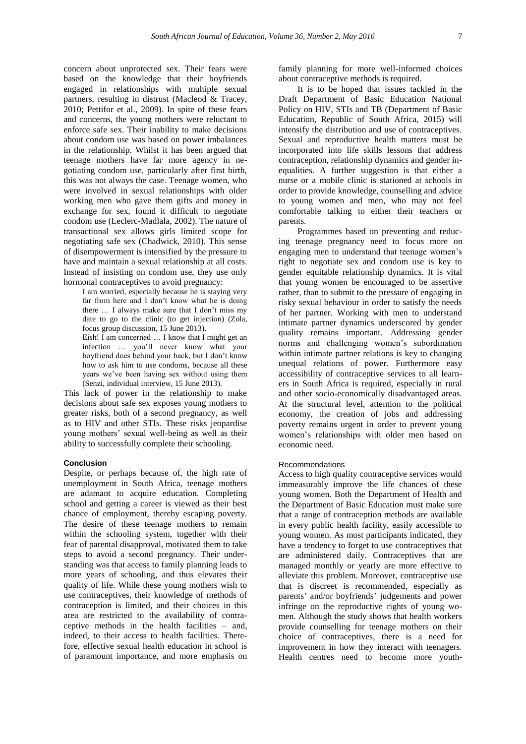concern about unprotected sex. Their fears were based on the knowledge that their boyfriends engaged in relationships with multiple sexual partners, resulting in distrust (Macleod & Tracey, 2010; Pettifor et al., 2009). In spite of these fears and concerns, the young mothers were reluctant to enforce safe sex. Their inability to make decisions about condom use was based on power imbalances in the relationship. Whilst it has been argued that teenage mothers have far more agency in negotiating condom use, particularly after first birth, this was not always the case. Teenage women, who were involved in sexual relationships with older working men who gave them gifts and money in exchange for sex, found it difficult to negotiate condom use (Leclerc-Madlala, 2002). The nature of transactional sex allows girls limited scope for negotiating safe sex (Chadwick, 2010). This sense of disempowerment is intensified by the pressure to have and maintain a sexual relationship at all costs. Instead of insisting on condom use, they use only hormonal contraceptives to avoid pregnancy:

I am worried, especially because he is staying very far from here and I don't know what he is doing there … I always make sure that I don't miss my date to go to the clinic (to get injection) (Zola, focus group discussion, 15 June 2013). Eish! I am concerned … I know that I might get an

infection … you'll never know what your boyfriend does behind your back, but I don't know how to ask him to use condoms, because all these years we've been having sex without using them (Senzi, individual interview, 15 June 2013).

This lack of power in the relationship to make decisions about safe sex exposes young mothers to greater risks, both of a second pregnancy, as well as to HIV and other STIs. These risks jeopardise young mothers' sexual well-being as well as their ability to successfully complete their schooling.

## **Conclusion**

Despite, or perhaps because of, the high rate of unemployment in South Africa, teenage mothers are adamant to acquire education. Completing school and getting a career is viewed as their best chance of employment, thereby escaping poverty. The desire of these teenage mothers to remain within the schooling system, together with their fear of parental disapproval, motivated them to take steps to avoid a second pregnancy. Their understanding was that access to family planning leads to more years of schooling, and thus elevates their quality of life. While these young mothers wish to use contraceptives, their knowledge of methods of contraception is limited, and their choices in this area are restricted to the availability of contraceptive methods in the health facilities – and, indeed, to their access to health facilities. Therefore, effective sexual health education in school is of paramount importance, and more emphasis on

family planning for more well-informed choices about contraceptive methods is required.

It is to be hoped that issues tackled in the Draft Department of Basic Education National Policy on HIV, STIs and TB (Department of Basic Education, Republic of South Africa, 2015) will intensify the distribution and use of contraceptives. Sexual and reproductive health matters must be incorporated into life skills lessons that address contraception, relationship dynamics and gender inequalities. A further suggestion is that either a nurse or a mobile clinic is stationed at schools in order to provide knowledge, counselling and advice to young women and men, who may not feel comfortable talking to either their teachers or parents.

Programmes based on preventing and reducing teenage pregnancy need to focus more on engaging men to understand that teenage women's right to negotiate sex and condom use is key to gender equitable relationship dynamics. It is vital that young women be encouraged to be assertive rather, than to submit to the pressure of engaging in risky sexual behaviour in order to satisfy the needs of her partner. Working with men to understand intimate partner dynamics underscored by gender quality remains important. Addressing gender norms and challenging women's subordination within intimate partner relations is key to changing unequal relations of power. Furthermore easy accessibility of contraceptive services to all learners in South Africa is required, especially in rural and other socio-economically disadvantaged areas. At the structural level, attention to the political economy, the creation of jobs and addressing poverty remains urgent in order to prevent young women's relationships with older men based on economic need.

### Recommendations

Access to high quality contraceptive services would immeasurably improve the life chances of these young women. Both the Department of Health and the Department of Basic Education must make sure that a range of contraception methods are available in every public health facility, easily accessible to young women. As most participants indicated, they have a tendency to forget to use contraceptives that are administered daily. Contraceptives that are managed monthly or yearly are more effective to alleviate this problem. Moreover, contraceptive use that is discreet is recommended, especially as parents' and/or boyfriends' judgements and power infringe on the reproductive rights of young women. Although the study shows that health workers provide counselling for teenage mothers on their choice of contraceptives, there is a need for improvement in how they interact with teenagers. Health centres need to become more youth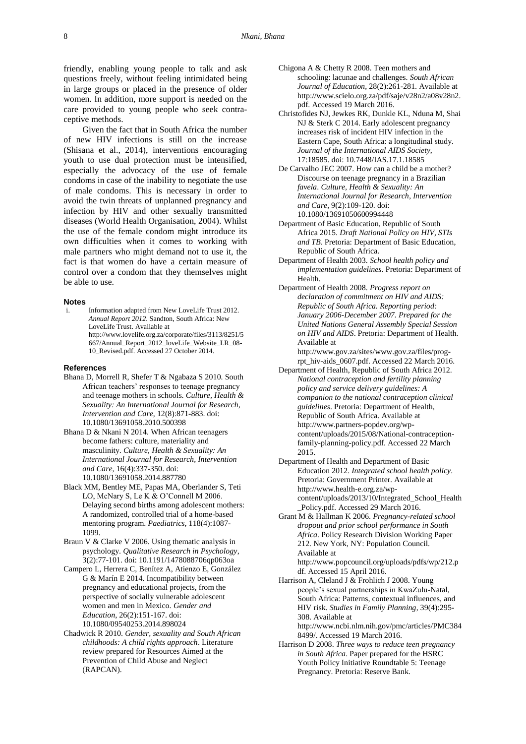friendly, enabling young people to talk and ask questions freely, without feeling intimidated being in large groups or placed in the presence of older women. In addition, more support is needed on the care provided to young people who seek contraceptive methods.

Given the fact that in South Africa the number of new HIV infections is still on the increase (Shisana et al., 2014), interventions encouraging youth to use dual protection must be intensified, especially the advocacy of the use of female condoms in case of the inability to negotiate the use of male condoms. This is necessary in order to avoid the twin threats of unplanned pregnancy and infection by HIV and other sexually transmitted diseases (World Health Organisation, 2004). Whilst the use of the female condom might introduce its own difficulties when it comes to working with male partners who might demand not to use it, the fact is that women do have a certain measure of control over a condom that they themselves might be able to use.

#### **Notes**

i. Information adapted from New LoveLife Trust 2012. *Annual Report 2012*. Sandton, South Africa: New LoveLife Trust. Available at [http://www.lovelife.org.za/corporate/files/3113/8251/5](http://www.lovelife.org.za/corporate/files/3113/8251/5667/Annual_Report_2012_loveLife_Website_LR_08-10_Revised.pdf) [667/Annual\\_Report\\_2012\\_loveLife\\_Website\\_LR\\_08-](http://www.lovelife.org.za/corporate/files/3113/8251/5667/Annual_Report_2012_loveLife_Website_LR_08-10_Revised.pdf) [10\\_Revised.pdf.](http://www.lovelife.org.za/corporate/files/3113/8251/5667/Annual_Report_2012_loveLife_Website_LR_08-10_Revised.pdf) Accessed 27 October 2014.

## **References**

- Bhana D, Morrell R, Shefer T & Ngabaza S 2010. South African teachers' responses to teenage pregnancy and teenage mothers in schools. *Culture, Health & Sexuality: An International Journal for Research, Intervention and Care*, 12(8):871-883. [doi:](http://www.tandfonline.com/doi/abs/10.1080/13691058.2010.500398)  [10.1080/13691058.2010.500398](http://www.tandfonline.com/doi/abs/10.1080/13691058.2010.500398)
- Bhana D & Nkani N 2014. When African teenagers become fathers: culture, materiality and masculinity. *Culture, Health & Sexuality: An International Journal for Research, Intervention and Care*, 16(4):337-350. [doi:](http://www.tandfonline.com/doi/abs/10.1080/13691058.2014.887780)  [10.1080/13691058.2014.887780](http://www.tandfonline.com/doi/abs/10.1080/13691058.2014.887780)
- Black MM, Bentley ME, Papas MA, Oberlander S, Teti LO, McNary S, Le K & O'Connell M 2006. Delaying second births among adolescent mothers: A randomized, controlled trial of a home-based mentoring program. *Paediatrics*, 118(4):1087- 1099.
- Braun V & Clarke V 2006. Using thematic analysis in psychology. *Qualitative Research in Psychology*, 3(2):77-101. [doi: 10.1191/1478088706qp063oa](http://www.tandfonline.com/doi/abs/10.1191/1478088706qp063oa)
- Campero L, Herrera C, Benítez A, Atienzo E, González G & Marín E 2014. Incompatibility between pregnancy and educational projects, from the perspective of socially vulnerable adolescent women and men in Mexico. *Gender and Education*, 26(2):151-167. [doi:](http://www.tandfonline.com/doi/abs/10.1080/09540253.2014.898024)  [10.1080/09540253.2014.898024](http://www.tandfonline.com/doi/abs/10.1080/09540253.2014.898024)
- Chadwick R 2010. *Gender, sexuality and South African childhoods: A child rights approach*. Literature review prepared for Resources Aimed at the Prevention of Child Abuse and Neglect (RAPCAN).
- Chigona A & Chetty R 2008. Teen mothers and schooling: lacunae and challenges. *South African Journal of Education*, 28(2):261-281. Available at [http://www.scielo.org.za/pdf/saje/v28n2/a08v28n2.](http://www.scielo.org.za/pdf/saje/v28n2/a08v28n2.pdf) [pdf.](http://www.scielo.org.za/pdf/saje/v28n2/a08v28n2.pdf) Accessed 19 March 2016.
- Christofides NJ, Jewkes RK, Dunkle KL, Nduna M, Shai NJ & Sterk C 2014. Early adolescent pregnancy increases risk of incident HIV infection in the Eastern Cape, South Africa: a longitudinal study. *Journal of the International AIDS Society*, 17:18585. [doi: 10.7448/IAS.17.1.18585](http://dx.doi.org/10.7448/IAS.17.1.18585)
- De Carvalho JEC 2007. How can a child be a mother? Discourse on teenage pregnancy in a Brazilian *favela*. *Culture, Health & Sexuality: An International Journal for Research, Intervention and Care*, 9(2):109-120. [doi:](http://www.tandfonline.com/doi/abs/10.1080/13691050600994448)  [10.1080/13691050600994448](http://www.tandfonline.com/doi/abs/10.1080/13691050600994448)
- Department of Basic Education, Republic of South Africa 2015. *Draft National Policy on HIV, STIs and TB*. Pretoria: Department of Basic Education, Republic of South Africa.
- Department of Health 2003. *School health policy and implementation guidelines*. Pretoria: Department of Health.
- Department of Health 2008. *Progress report on declaration of commitment on HIV and AIDS: Republic of South Africa. Reporting period: January 2006-December 2007. Prepared for the United Nations General Assembly Special Session on HIV and AIDS*. Pretoria: Department of Health. Available at

[http://www.gov.za/sites/www.gov.za/files/prog](http://www.gov.za/sites/www.gov.za/files/prog-rpt_hiv-aids_0607.pdf)[rpt\\_hiv-aids\\_0607.pdf.](http://www.gov.za/sites/www.gov.za/files/prog-rpt_hiv-aids_0607.pdf) Accessed 22 March 2016.

Department of Health, Republic of South Africa 2012. *National contraception and fertility planning policy and service delivery guidelines: A companion to the national contraception clinical guidelines*. Pretoria: Department of Health, Republic of South Africa. Available at [http://www.partners-popdev.org/wp](http://www.partners-popdev.org/wp-content/uploads/2015/08/National-contraception-family-planning-policy.pdf)[content/uploads/2015/08/National-contraception](http://www.partners-popdev.org/wp-content/uploads/2015/08/National-contraception-family-planning-policy.pdf)[family-planning-policy.pdf.](http://www.partners-popdev.org/wp-content/uploads/2015/08/National-contraception-family-planning-policy.pdf) Accessed 22 March 2015.

Department of Health and Department of Basic Education 2012. *Integrated school health policy*. Pretoria: Government Printer. Available at [http://www.health-e.org.za/wp](http://www.health-e.org.za/wp-content/uploads/2013/10/Integrated_School_Health_Policy.pdf)[content/uploads/2013/10/Integrated\\_School\\_Health](http://www.health-e.org.za/wp-content/uploads/2013/10/Integrated_School_Health_Policy.pdf) [\\_Policy.pdf.](http://www.health-e.org.za/wp-content/uploads/2013/10/Integrated_School_Health_Policy.pdf) Accessed 29 March 2016.

- Grant M & Hallman K 2006. *Pregnancy-related school dropout and prior school performance in South Africa*. Policy Research Division Working Paper 212. New York, NY: Population Council. Available at [http://www.popcouncil.org/uploads/pdfs/wp/212.p](http://www.popcouncil.org/uploads/pdfs/wp/212.pdf) [df.](http://www.popcouncil.org/uploads/pdfs/wp/212.pdf) Accessed 15 April 2016.
- Harrison A, Cleland J & Frohlich J 2008. Young people's sexual partnerships in KwaZulu-Natal, South Africa: Patterns, contextual influences, and HIV risk. *Studies in Family Planning*, 39(4):295- 308. Available at [http://www.ncbi.nlm.nih.gov/pmc/articles/PMC384](http://www.ncbi.nlm.nih.gov/pmc/articles/PMC3848499/)

[8499/.](http://www.ncbi.nlm.nih.gov/pmc/articles/PMC3848499/) Accessed 19 March 2016.

Harrison D 2008. *Three ways to reduce teen pregnancy in South Africa*. Paper prepared for the HSRC Youth Policy Initiative Roundtable 5: Teenage Pregnancy. Pretoria: Reserve Bank.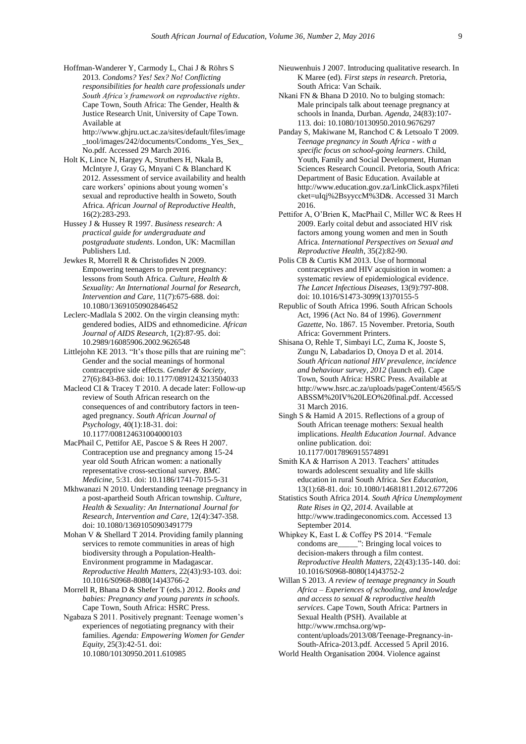Hoffman-Wanderer Y, Carmody L, Chai J & Röhrs S 2013. *Condoms? Yes! Sex? No! Conflicting responsibilities for health care professionals under South Africa's framework on reproductive rights*. Cape Town, South Africa: The Gender, Health & Justice Research Unit, University of Cape Town. Available at

[http://www.ghjru.uct.ac.za/sites/default/files/image](http://www.ghjru.uct.ac.za/sites/default/files/image_tool/images/242/documents/Condoms_Yes_Sex_No.pdf) [\\_tool/images/242/documents/Condoms\\_Yes\\_Sex\\_](http://www.ghjru.uct.ac.za/sites/default/files/image_tool/images/242/documents/Condoms_Yes_Sex_No.pdf) [No.pdf.](http://www.ghjru.uct.ac.za/sites/default/files/image_tool/images/242/documents/Condoms_Yes_Sex_No.pdf) Accessed 29 March 2016.

Holt K, Lince N, Hargey A, Struthers H, Nkala B, McIntyre J, Gray G, Mnyani C & Blanchard K 2012. Assessment of service availability and health care workers' opinions about young women's sexual and reproductive health in Soweto, South Africa. *African Journal of Reproductive Health*, 16(2):283-293.

Hussey J & Hussey R 1997. *Business research: A practical guide for undergraduate and postgraduate students*. London, UK: Macmillan Publishers Ltd.

- Jewkes R, Morrell R & Christofides N 2009. Empowering teenagers to prevent pregnancy: lessons from South Africa. *Culture, Health & Sexuality: An International Journal for Research, Intervention and Care*, 11(7):675-688[. doi:](http://www.tandfonline.com/doi/abs/10.1080/13691050902846452)  [10.1080/13691050902846452](http://www.tandfonline.com/doi/abs/10.1080/13691050902846452)
- Leclerc-Madlala S 2002. On the virgin cleansing myth: gendered bodies, AIDS and ethnomedicine. *African Journal of AIDS Research*, 1(2):87-95[. doi:](http://www.tandfonline.com/doi/abs/10.2989/16085906.2002.9626548)  [10.2989/16085906.2002.9626548](http://www.tandfonline.com/doi/abs/10.2989/16085906.2002.9626548)
- Littlejohn KE 2013. "It's those pills that are ruining me": Gender and the social meanings of hormonal contraceptive side effects. *Gender & Society*, 27(6):843-863. [doi: 10.1177/0891243213504033](http://gas.sagepub.com/content/27/6/843)
- Macleod CI & Tracey T 2010. A decade later: Follow-up review of South African research on the consequences of and contributory factors in teenaged pregnancy. *South African Journal of Psychology*, 40(1):18-31. [doi:](http://sap.sagepub.com/content/40/1/18.short)  [10.1177/008124631004000103](http://sap.sagepub.com/content/40/1/18.short)
- MacPhail C, Pettifor AE, Pascoe S & Rees H 2007. Contraception use and pregnancy among 15-24 year old South African women: a nationally representative cross-sectional survey. *BMC Medicine*, 5:31. [doi: 10.1186/1741-7015-5-31](https://bmcmedicine.biomedcentral.com/articles/10.1186/1741-7015-5-31)
- Mkhwanazi N 2010. Understanding teenage pregnancy in a post-apartheid South African township. *Culture, Health & Sexuality: An International Journal for Research, Intervention and Care*, 12(4):347-358. [doi: 10.1080/13691050903491779](http://www.tandfonline.com/doi/abs/10.1080/13691050903491779)
- Mohan V & Shellard T 2014. Providing family planning services to remote communities in areas of high biodiversity through a Population-Health-Environment programme in Madagascar. *Reproductive Health Matters*, 22(43):93-103. [doi:](http://dx.doi.org/10.1016/S0968-8080(14)43766-2)  [10.1016/S0968-8080\(14\)43766-2](http://dx.doi.org/10.1016/S0968-8080(14)43766-2)
- Morrell R, Bhana D & Shefer T (eds.) 2012. *Books and babies: Pregnancy and young parents in schools*. Cape Town, South Africa: HSRC Press.
- Ngabaza S 2011. Positively pregnant: Teenage women's experiences of negotiating pregnancy with their families. *Agenda: Empowering Women for Gender Equity*, 25(3):42-51. [doi:](http://www.tandfonline.com/doi/abs/10.1080/10130950.2011.610985)  [10.1080/10130950.2011.610985](http://www.tandfonline.com/doi/abs/10.1080/10130950.2011.610985)
- Nieuwenhuis J 2007. Introducing qualitative research. In K Maree (ed). *First steps in research*. Pretoria, South Africa: Van Schaik.
- Nkani FN & Bhana D 2010. No to bulging stomach: Male principals talk about teenage pregnancy at schools in Inanda, Durban. *Agenda*, 24(83):107- 113. [doi: 10.1080/10130950.2010.9676297](http://www.tandfonline.com/doi/abs/10.1080/10130950.2010.9676297)
- Panday S, Makiwane M, Ranchod C & Letsoalo T 2009. *Teenage pregnancy in South Africa - with a specific focus on school-going learners*. Child, Youth, Family and Social Development, Human Sciences Research Council. Pretoria, South Africa: Department of Basic Education. Available at [http://www.education.gov.za/LinkClick.aspx?fileti](http://www.education.gov.za/LinkClick.aspx?fileticket=uIqj%2BsyyccM%3D&) [cket=uIqj%2BsyyccM%3D&.](http://www.education.gov.za/LinkClick.aspx?fileticket=uIqj%2BsyyccM%3D&) Accessed 31 March 2016.
- Pettifor A, O'Brien K, MacPhail C, Miller WC & Rees H 2009. Early coital debut and associated HIV risk factors among young women and men in South Africa. *International Perspectives on Sexual and Reproductive Health*, 35(2):82-90.
- Polis CB & Curtis KM 2013. Use of hormonal contraceptives and HIV acquisition in women: a systematic review of epidemiological evidence. *The Lancet Infectious Diseases*, 13(9):797-808. [doi: 10.1016/S1473-3099\(13\)70155-5](http://dx.doi.org/10.1016/S1473-3099(13)70155-5)
- Republic of South Africa 1996. South African Schools Act, 1996 (Act No. 84 of 1996). *Government Gazette*, No. 1867. 15 November. Pretoria, South Africa: Government Printers.
- Shisana O, Rehle T, Simbayi LC, Zuma K, Jooste S, Zungu N, Labadarios D, Onoya D et al. 2014. *South African national HIV prevalence, incidence and behaviour survey, 2012* (launch ed). Cape Town, South Africa: HSRC Press. Available at [http://www.hsrc.ac.za/uploads/pageContent/4565/S](http://www.hsrc.ac.za/uploads/pageContent/4565/SABSSM%20IV%20LEO%20final.pdf) [ABSSM%20IV%20LEO%20final.pdf.](http://www.hsrc.ac.za/uploads/pageContent/4565/SABSSM%20IV%20LEO%20final.pdf) Accessed 31 March 2016.
- Singh S & Hamid A 2015. Reflections of a group of South African teenage mothers: Sexual health implications. *Health Education Journal*. Advance online publication[. doi:](http://hej.sagepub.com/content/early/2015/03/16/0017896915574891.abstract)  [10.1177/0017896915574891](http://hej.sagepub.com/content/early/2015/03/16/0017896915574891.abstract)
- Smith KA & Harrison A 2013. Teachers' attitudes towards adolescent sexuality and life skills education in rural South Africa. *Sex Education*, 13(1):68-81[. doi: 10.1080/14681811.2012.677206](http://www.tandfonline.com/doi/abs/10.1080/14681811.2012.677206)
- Statistics South Africa 2014. *South Africa Unemployment Rate Rises in Q2, 2014*. Available at http://www.tradingeconomics.com. Accessed 13 September 2014.
- Whipkey K, East L & Coffey PS 2014. "Female condoms are\_\_\_\_\_": Bringing local voices to decision-makers through a film contest. *Reproductive Health Matters*, 22(43):135-140[. doi:](http://dx.doi.org/10.1016/S0968-8080(14)43752-2)  [10.1016/S0968-8080\(14\)43752-2](http://dx.doi.org/10.1016/S0968-8080(14)43752-2)
- Willan S 2013*. A review of teenage pregnancy in South Africa – Experiences of schooling, and knowledge and access to sexual & reproductive health services*. Cape Town, South Africa: Partners in Sexual Health (PSH). Available at [http://www.rmchsa.org/wp](http://www.rmchsa.org/wp-content/uploads/2013/08/Teenage-Pregnancy-in-South-Africa-2013.pdf)[content/uploads/2013/08/Teenage-Pregnancy-in-](http://www.rmchsa.org/wp-content/uploads/2013/08/Teenage-Pregnancy-in-South-Africa-2013.pdf)[South-Africa-2013.pdf.](http://www.rmchsa.org/wp-content/uploads/2013/08/Teenage-Pregnancy-in-South-Africa-2013.pdf) Accessed 5 April 2016.
- World Health Organisation 2004. Violence against